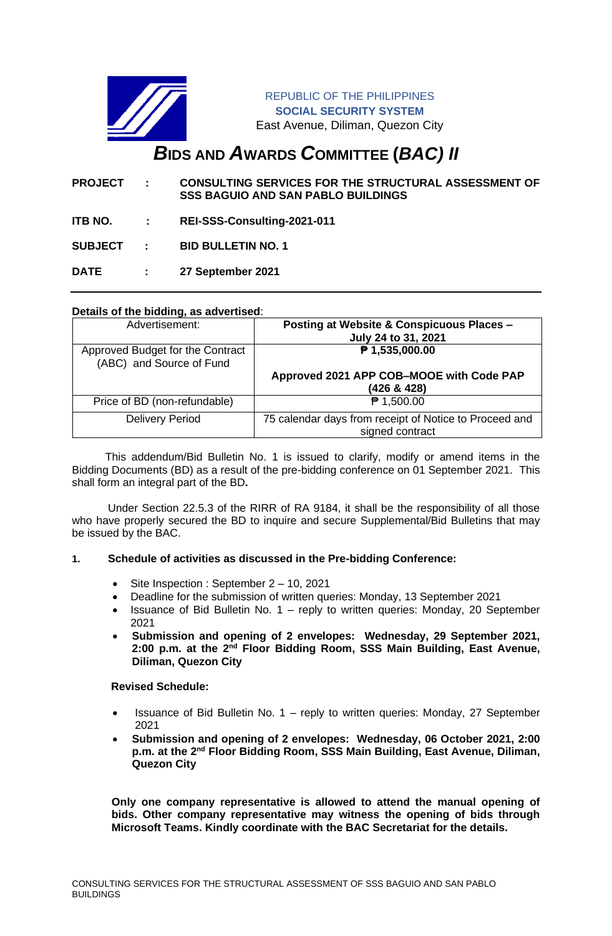

REPUBLIC OF THE PHILIPPINES **SOCIAL SECURITY SYSTEM** East Avenue, Diliman, Quezon City

# *B***IDS AND** *A***WARDS** *C***OMMITTEE (***BAC) II*

- **PROJECT : CONSULTING SERVICES FOR THE STRUCTURAL ASSESSMENT OF SSS BAGUIO AND SAN PABLO BUILDINGS**
- **ITB NO. : REI-SSS-Consulting-2021-011**

**SUBJECT : BID BULLETIN NO. 1**

**DATE : 27 September 2021**

# **Details of the bidding, as advertised**:

| Advertisement:                                               | Posting at Website & Conspicuous Places -<br>July 24 to 31, 2021          |
|--------------------------------------------------------------|---------------------------------------------------------------------------|
| Approved Budget for the Contract<br>(ABC) and Source of Fund | ₱ 1,535,000.00                                                            |
|                                                              | Approved 2021 APP COB-MOOE with Code PAP<br>(426 & 428)                   |
| Price of BD (non-refundable)                                 | $P$ 1,500.00                                                              |
| <b>Delivery Period</b>                                       | 75 calendar days from receipt of Notice to Proceed and<br>signed contract |

 This addendum/Bid Bulletin No. 1 is issued to clarify, modify or amend items in the Bidding Documents (BD) as a result of the pre-bidding conference on 01 September 2021. This shall form an integral part of the BD**.**

Under Section 22.5.3 of the RIRR of RA 9184, it shall be the responsibility of all those who have properly secured the BD to inquire and secure Supplemental/Bid Bulletins that may be issued by the BAC.

#### **1. Schedule of activities as discussed in the Pre-bidding Conference:**

- Site Inspection : September 2 10, 2021
- Deadline for the submission of written queries: Monday, 13 September 2021
- Issuance of Bid Bulletin No. 1 reply to written queries: Monday, 20 September 2021
- **Submission and opening of 2 envelopes: Wednesday, 29 September 2021,**  2:00 p.m. at the 2<sup>nd</sup> Floor Bidding Room, SSS Main Building, East Avenue, **Diliman, Quezon City**

### **Revised Schedule:**

- Issuance of Bid Bulletin No. 1 reply to written queries: Monday, 27 September 2021
- **Submission and opening of 2 envelopes: Wednesday, 06 October 2021, 2:00**  p.m. at the 2<sup>nd</sup> Floor Bidding Room, SSS Main Building, East Avenue, Diliman, **Quezon City**

**Only one company representative is allowed to attend the manual opening of bids. Other company representative may witness the opening of bids through Microsoft Teams. Kindly coordinate with the BAC Secretariat for the details.**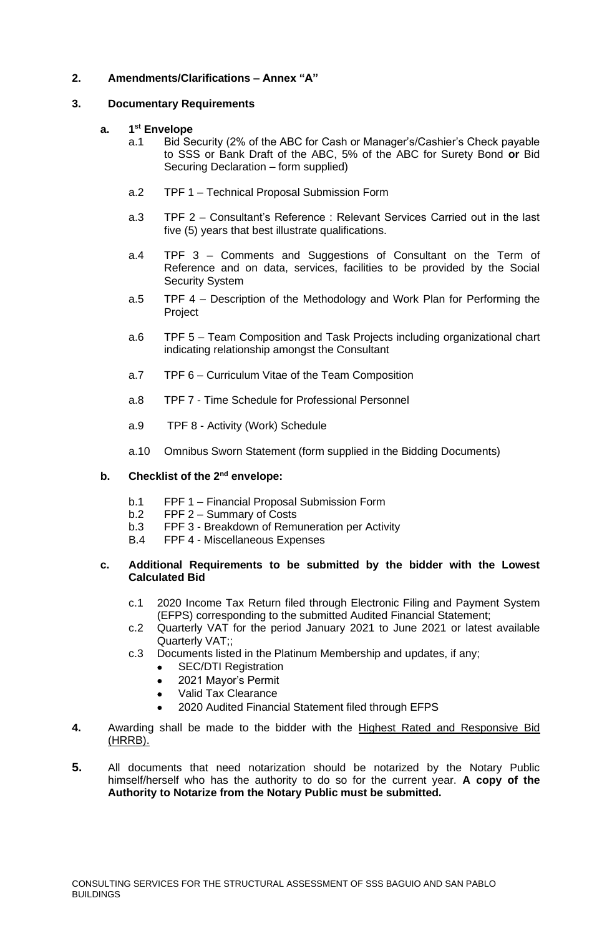# **2. Amendments/Clarifications – Annex "A"**

# **3. Documentary Requirements**

#### **a. 1 st Envelope**

- a.1 Bid Security (2% of the ABC for Cash or Manager's/Cashier's Check payable to SSS or Bank Draft of the ABC, 5% of the ABC for Surety Bond **or** Bid Securing Declaration – form supplied)
- a.2 TPF 1 Technical Proposal Submission Form
- a.3 TPF 2 Consultant's Reference : Relevant Services Carried out in the last five (5) years that best illustrate qualifications.
- a.4 TPF 3 Comments and Suggestions of Consultant on the Term of Reference and on data, services, facilities to be provided by the Social Security System
- a.5 TPF 4 Description of the Methodology and Work Plan for Performing the Project
- a.6 TPF 5 Team Composition and Task Projects including organizational chart indicating relationship amongst the Consultant
- a.7 TPF 6 Curriculum Vitae of the Team Composition
- a.8 TPF 7 Time Schedule for Professional Personnel
- a.9 TPF 8 Activity (Work) Schedule
- a.10 Omnibus Sworn Statement (form supplied in the Bidding Documents)

#### **b. Checklist of the 2nd envelope:**

- b.1 FPF 1 Financial Proposal Submission Form
- b.2 FPF 2 Summary of Costs
- b.3 FPF 3 Breakdown of Remuneration per Activity
- B.4 FPF 4 Miscellaneous Expenses

## **c. Additional Requirements to be submitted by the bidder with the Lowest Calculated Bid**

- c.1 2020 Income Tax Return filed through Electronic Filing and Payment System (EFPS) corresponding to the submitted Audited Financial Statement;
- c.2 Quarterly VAT for the period January 2021 to June 2021 or latest available Quarterly VAT;;
- c.3 Documents listed in the Platinum Membership and updates, if any;
	- SEC/DTI Registration
	- 2021 Mayor's Permit
	- Valid Tax Clearance
	- 2020 Audited Financial Statement filed through EFPS
- **4.** Awarding shall be made to the bidder with the Highest Rated and Responsive Bid (HRRB).
- **5.** All documents that need notarization should be notarized by the Notary Public himself/herself who has the authority to do so for the current year. **A copy of the Authority to Notarize from the Notary Public must be submitted.**